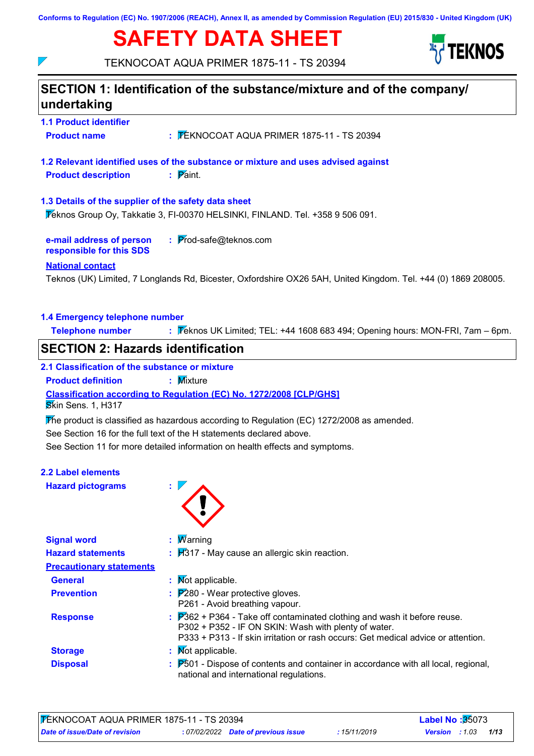**Conforms to Regulation (EC) No. 1907/2006 (REACH), Annex II, as amended by Commission Regulation (EU) 2015/830 - United Kingdom (UK)**

# **SAFETY DATA SHEET**



TEKNOCOAT AQUA PRIMER 1875-11 - TS 20394

 $\overline{\phantom{a}}$ 

| undertaking                                          |                                                                                                                                                                                                                                  |
|------------------------------------------------------|----------------------------------------------------------------------------------------------------------------------------------------------------------------------------------------------------------------------------------|
| <b>1.1 Product identifier</b>                        |                                                                                                                                                                                                                                  |
| <b>Product name</b>                                  | : FEKNOCOAT AQUA PRIMER 1875-11 - TS 20394                                                                                                                                                                                       |
| <b>Product description</b>                           | 1.2 Relevant identified uses of the substance or mixture and uses advised against<br>$\mathbf{P}$ Paint.                                                                                                                         |
| 1.3 Details of the supplier of the safety data sheet | Veknos Group Oy, Takkatie 3, FI-00370 HELSINKI, FINLAND. Tel. +358 9 506 091.                                                                                                                                                    |
| e-mail address of person<br>responsible for this SDS | : Prod-safe@teknos.com                                                                                                                                                                                                           |
| <b>National contact</b>                              | Teknos (UK) Limited, 7 Longlands Rd, Bicester, Oxfordshire OX26 5AH, United Kingdom. Tel. +44 (0) 1869 208005.                                                                                                                   |
| 1.4 Emergency telephone number                       |                                                                                                                                                                                                                                  |
| <b>Telephone number</b>                              | : Feknos UK Limited; TEL: +44 1608 683 494; Opening hours: MON-FRI, 7am - 6pm.                                                                                                                                                   |
| <b>SECTION 2: Hazards identification</b>             |                                                                                                                                                                                                                                  |
| 2.1 Classification of the substance or mixture       |                                                                                                                                                                                                                                  |
| <b>Product definition</b>                            | : Mixture                                                                                                                                                                                                                        |
|                                                      |                                                                                                                                                                                                                                  |
|                                                      | Classification according to Regulation (EC) No. 1272/2008 [CLP/GHS]                                                                                                                                                              |
| Skin Sens. 1, H317                                   | The product is classified as hazardous according to Regulation (EC) 1272/2008 as amended.                                                                                                                                        |
|                                                      | See Section 16 for the full text of the H statements declared above.                                                                                                                                                             |
|                                                      | See Section 11 for more detailed information on health effects and symptoms.                                                                                                                                                     |
|                                                      |                                                                                                                                                                                                                                  |
| <b>Hazard pictograms</b>                             |                                                                                                                                                                                                                                  |
|                                                      |                                                                                                                                                                                                                                  |
| <b>Signal word</b>                                   | : Warning                                                                                                                                                                                                                        |
| <b>Hazard statements</b>                             | $\mathbf{H}$ 317 - May cause an allergic skin reaction.                                                                                                                                                                          |
| <b>Precautionary statements</b>                      |                                                                                                                                                                                                                                  |
| <b>General</b>                                       | : Mot applicable.                                                                                                                                                                                                                |
| <b>2.2 Label elements</b><br><b>Prevention</b>       | $\frac{1}{2}$ $\mathbb{P}280$ - Wear protective gloves.<br>P261 - Avoid breathing vapour.                                                                                                                                        |
| <b>Response</b>                                      | $\overline{P}362$ + P364 - Take off contaminated clothing and wash it before reuse.<br>P302 + P352 - IF ON SKIN: Wash with plenty of water.<br>P333 + P313 - If skin irritation or rash occurs: Get medical advice or attention. |
| <b>Storage</b>                                       | : Mot applicable.                                                                                                                                                                                                                |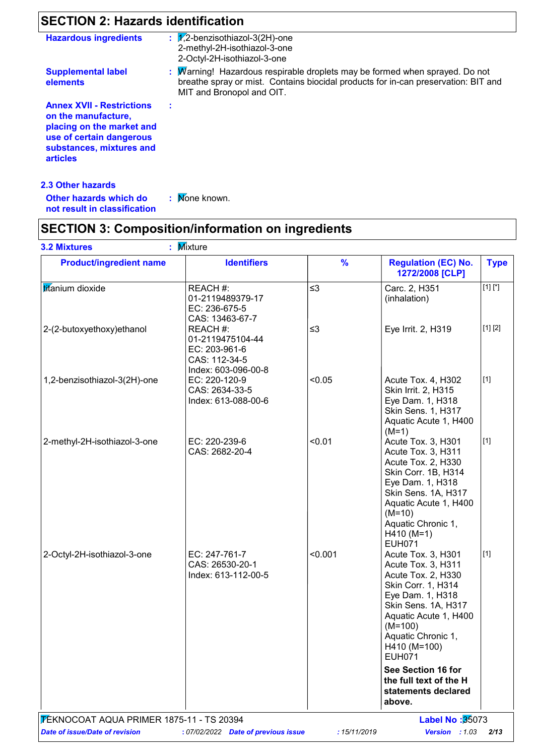## **SECTION 2: Hazards identification**

| <b>Hazardous ingredients</b>                                                                                                                                    | : $\sqrt{2}$ -benzisothiazol-3(2H)-one<br>2-methyl-2H-isothiazol-3-one<br>2-Octyl-2H-isothiazol-3-one                                                                                          |
|-----------------------------------------------------------------------------------------------------------------------------------------------------------------|------------------------------------------------------------------------------------------------------------------------------------------------------------------------------------------------|
| <b>Supplemental label</b><br>elements                                                                                                                           | : Marning! Hazardous respirable droplets may be formed when sprayed. Do not<br>breathe spray or mist. Contains biocidal products for in-can preservation: BIT and<br>MIT and Bronopol and OIT. |
| <b>Annex XVII - Restrictions</b><br>on the manufacture,<br>placing on the market and<br>use of certain dangerous<br>substances, mixtures and<br><b>articles</b> |                                                                                                                                                                                                |

### **2.3 Other hazards**

: Mone known.

**Other hazards which do : not result in classification**

## **SECTION 3: Composition/information on ingredients**

| <b>Product/ingredient name</b> | <b>Identifiers</b>                                                                    | $\frac{9}{6}$ | <b>Regulation (EC) No.</b><br>1272/2008 [CLP]                                                                                                                                                                                | <b>Type</b> |
|--------------------------------|---------------------------------------------------------------------------------------|---------------|------------------------------------------------------------------------------------------------------------------------------------------------------------------------------------------------------------------------------|-------------|
| titanium dioxide               | REACH #:<br>01-2119489379-17<br>EC: 236-675-5<br>CAS: 13463-67-7                      | $\leq$ 3      | Carc. 2, H351<br>(inhalation)                                                                                                                                                                                                | $[1] [^*]$  |
| 2-(2-butoxyethoxy)ethanol      | REACH #:<br>01-2119475104-44<br>EC: 203-961-6<br>CAS: 112-34-5<br>Index: 603-096-00-8 | $\leq$ 3      | Eye Irrit. 2, H319                                                                                                                                                                                                           | [1] [2]     |
| 1,2-benzisothiazol-3(2H)-one   | EC: 220-120-9<br>CAS: 2634-33-5<br>Index: 613-088-00-6                                | < 0.05        | Acute Tox. 4, H302<br>Skin Irrit. 2, H315<br>Eye Dam. 1, H318<br>Skin Sens. 1, H317<br>Aquatic Acute 1, H400<br>$(M=1)$                                                                                                      | $[1]$       |
| 2-methyl-2H-isothiazol-3-one   | EC: 220-239-6<br>CAS: 2682-20-4                                                       | < 0.01        | Acute Tox. 3, H301<br>Acute Tox. 3, H311<br>Acute Tox. 2, H330<br>Skin Corr. 1B, H314<br>Eye Dam. 1, H318<br>Skin Sens. 1A, H317<br>Aquatic Acute 1, H400<br>$(M=10)$<br>Aquatic Chronic 1,<br>$H410 (M=1)$<br><b>EUH071</b> | $[1]$       |
| 2-Octyl-2H-isothiazol-3-one    | EC: 247-761-7<br>CAS: 26530-20-1<br>Index: 613-112-00-5                               | < 0.001       | Acute Tox. 3, H301<br>Acute Tox. 3, H311<br>Acute Tox. 2, H330<br>Skin Corr. 1, H314<br>Eye Dam. 1, H318<br>Skin Sens. 1A, H317<br>Aquatic Acute 1, H400<br>$(M=100)$<br>Aquatic Chronic 1,<br>H410 (M=100)<br><b>EUH071</b> | $[1]$       |
|                                |                                                                                       |               | See Section 16 for<br>the full text of the H<br>statements declared<br>above.                                                                                                                                                |             |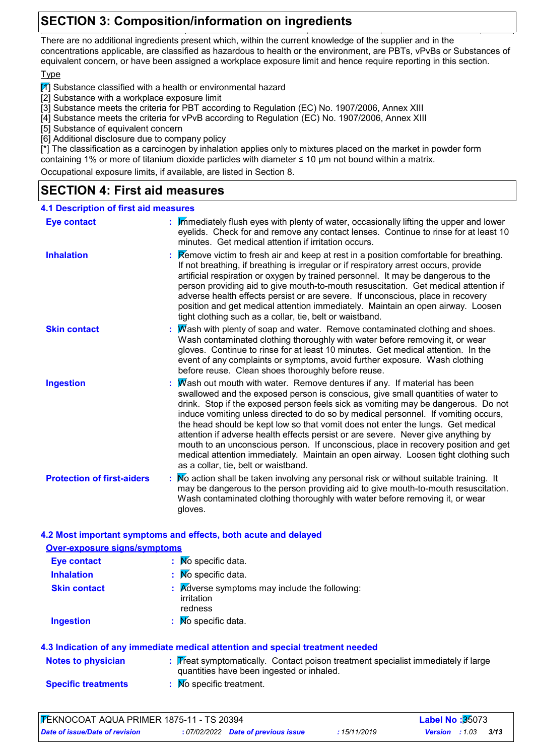## **SECTION 3: Composition/information on ingredients**

There are no additional ingredients present which, within the current knowledge of the supplier and in the concentrations applicable, are classified as hazardous to health or the environment, are PBTs, vPvBs or Substances of equivalent concern, or have been assigned a workplace exposure limit and hence require reporting in this section.

### Type

 $\mathbb{F}$  Substance classified with a health or environmental hazard

[2] Substance with a workplace exposure limit

[3] Substance meets the criteria for PBT according to Regulation (EC) No. 1907/2006, Annex XIII

[4] Substance meets the criteria for vPvB according to Regulation (EC) No. 1907/2006, Annex XIII

[5] Substance of equivalent concern

[6] Additional disclosure due to company policy

[\*] The classification as a carcinogen by inhalation applies only to mixtures placed on the market in powder form containing 1% or more of titanium dioxide particles with diameter ≤ 10 μm not bound within a matrix.

Occupational exposure limits, if available, are listed in Section 8.

## **SECTION 4: First aid measures**

| <b>4.1 Description of first aid measures</b> |                                                                                                                                                                                                                                                                                                                                                                                                                                                                                                                                                                                                                                                                                                                                    |
|----------------------------------------------|------------------------------------------------------------------------------------------------------------------------------------------------------------------------------------------------------------------------------------------------------------------------------------------------------------------------------------------------------------------------------------------------------------------------------------------------------------------------------------------------------------------------------------------------------------------------------------------------------------------------------------------------------------------------------------------------------------------------------------|
| <b>Eye contact</b>                           | : Immediately flush eyes with plenty of water, occasionally lifting the upper and lower<br>eyelids. Check for and remove any contact lenses. Continue to rinse for at least 10<br>minutes. Get medical attention if irritation occurs.                                                                                                                                                                                                                                                                                                                                                                                                                                                                                             |
| <b>Inhalation</b>                            | <b>Example 2</b> : <b>Remove victim to fresh air and keep at rest in a position comfortable for breathing.</b><br>If not breathing, if breathing is irregular or if respiratory arrest occurs, provide<br>artificial respiration or oxygen by trained personnel. It may be dangerous to the<br>person providing aid to give mouth-to-mouth resuscitation. Get medical attention if<br>adverse health effects persist or are severe. If unconscious, place in recovery<br>position and get medical attention immediately. Maintain an open airway. Loosen<br>tight clothing such as a collar, tie, belt or waistband.                                                                                                               |
| <b>Skin contact</b>                          | Mash with plenty of soap and water. Remove contaminated clothing and shoes.<br>Wash contaminated clothing thoroughly with water before removing it, or wear<br>gloves. Continue to rinse for at least 10 minutes. Get medical attention. In the<br>event of any complaints or symptoms, avoid further exposure. Wash clothing<br>before reuse. Clean shoes thoroughly before reuse.                                                                                                                                                                                                                                                                                                                                                |
| <b>Ingestion</b>                             | Wash out mouth with water. Remove dentures if any. If material has been<br>swallowed and the exposed person is conscious, give small quantities of water to<br>drink. Stop if the exposed person feels sick as vomiting may be dangerous. Do not<br>induce vomiting unless directed to do so by medical personnel. If vomiting occurs,<br>the head should be kept low so that vomit does not enter the lungs. Get medical<br>attention if adverse health effects persist or are severe. Never give anything by<br>mouth to an unconscious person. If unconscious, place in recovery position and get<br>medical attention immediately. Maintain an open airway. Loosen tight clothing such<br>as a collar, tie, belt or waistband. |
| <b>Protection of first-aiders</b>            | : No action shall be taken involving any personal risk or without suitable training. It<br>may be dangerous to the person providing aid to give mouth-to-mouth resuscitation.<br>Wash contaminated clothing thoroughly with water before removing it, or wear<br>gloves.                                                                                                                                                                                                                                                                                                                                                                                                                                                           |

### **4.2 Most important symptoms and effects, both acute and delayed**

| <b>Over-exposure signs/symptoms</b> |                                                                                                                                |
|-------------------------------------|--------------------------------------------------------------------------------------------------------------------------------|
| <b>Eye contact</b>                  | $\mathbf{N}$ Specific data.                                                                                                    |
| <b>Inhalation</b>                   | $\mathbf{N}$ Specific data.                                                                                                    |
| <b>Skin contact</b>                 | $\therefore$ <b>A</b> dverse symptoms may include the following:<br>irritation<br>redness                                      |
| <b>Ingestion</b>                    | $\therefore$ Mo specific data.                                                                                                 |
|                                     | 4.3 Indication of any immediate medical attention and special treatment needed                                                 |
| <b>Notes to physician</b>           | : Treat symptomatically. Contact poison treatment specialist immediately if large<br>quantities have been ingested or inhaled. |
| <b>Specific treatments</b>          | : Mo specific treatment.                                                                                                       |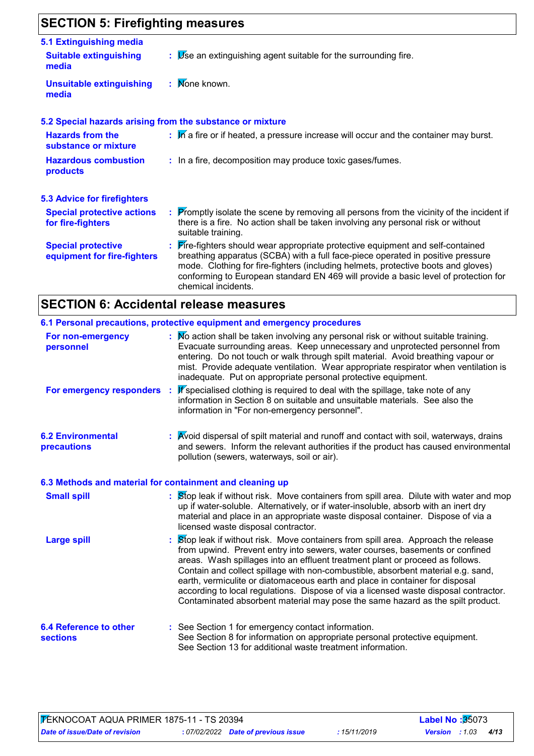## **SECTION 5: Firefighting measures**

| 5.1 Extinguishing media                                  |                                                                                                                                                                                                                                                                                                                                                                       |
|----------------------------------------------------------|-----------------------------------------------------------------------------------------------------------------------------------------------------------------------------------------------------------------------------------------------------------------------------------------------------------------------------------------------------------------------|
| <b>Suitable extinguishing</b><br>media                   | $\mathbf{B}$ $\mathbf{B}$ Se an extinguishing agent suitable for the surrounding fire.                                                                                                                                                                                                                                                                                |
| <b>Unsuitable extinguishing</b><br>media                 | : Mone known.                                                                                                                                                                                                                                                                                                                                                         |
|                                                          | 5.2 Special hazards arising from the substance or mixture                                                                                                                                                                                                                                                                                                             |
| <b>Hazards from the</b><br>substance or mixture          | : M a fire or if heated, a pressure increase will occur and the container may burst.                                                                                                                                                                                                                                                                                  |
| <b>Hazardous combustion</b><br>products                  | : In a fire, decomposition may produce toxic gases/fumes.                                                                                                                                                                                                                                                                                                             |
| <b>5.3 Advice for firefighters</b>                       |                                                                                                                                                                                                                                                                                                                                                                       |
| <b>Special protective actions</b><br>for fire-fighters   | : Promptly isolate the scene by removing all persons from the vicinity of the incident if<br>there is a fire. No action shall be taken involving any personal risk or without<br>suitable training.                                                                                                                                                                   |
| <b>Special protective</b><br>equipment for fire-fighters | : Fire-fighters should wear appropriate protective equipment and self-contained<br>breathing apparatus (SCBA) with a full face-piece operated in positive pressure<br>mode. Clothing for fire-fighters (including helmets, protective boots and gloves)<br>conforming to European standard EN 469 will provide a basic level of protection for<br>chemical incidents. |

## **SECTION 6: Accidental release measures**

|                                                  | 6.1 Personal precautions, protective equipment and emergency procedures                                                                                                                                                                                                                                                                                                                                                                                                                                                                                                                         |
|--------------------------------------------------|-------------------------------------------------------------------------------------------------------------------------------------------------------------------------------------------------------------------------------------------------------------------------------------------------------------------------------------------------------------------------------------------------------------------------------------------------------------------------------------------------------------------------------------------------------------------------------------------------|
| For non-emergency<br>personnel                   | : No action shall be taken involving any personal risk or without suitable training.<br>Evacuate surrounding areas. Keep unnecessary and unprotected personnel from<br>entering. Do not touch or walk through spilt material. Avoid breathing vapour or<br>mist. Provide adequate ventilation. Wear appropriate respirator when ventilation is<br>inadequate. Put on appropriate personal protective equipment.                                                                                                                                                                                 |
| For emergency responders                         | If specialised clothing is required to deal with the spillage, take note of any<br>information in Section 8 on suitable and unsuitable materials. See also the<br>information in "For non-emergency personnel".                                                                                                                                                                                                                                                                                                                                                                                 |
| <b>6.2 Environmental</b><br>precautions          | : Avoid dispersal of spilt material and runoff and contact with soil, waterways, drains<br>and sewers. Inform the relevant authorities if the product has caused environmental<br>pollution (sewers, waterways, soil or air).                                                                                                                                                                                                                                                                                                                                                                   |
|                                                  | 6.3 Methods and material for containment and cleaning up                                                                                                                                                                                                                                                                                                                                                                                                                                                                                                                                        |
| <b>Small spill</b>                               | : Stop leak if without risk. Move containers from spill area. Dilute with water and mop<br>up if water-soluble. Alternatively, or if water-insoluble, absorb with an inert dry<br>material and place in an appropriate waste disposal container. Dispose of via a<br>licensed waste disposal contractor.                                                                                                                                                                                                                                                                                        |
| <b>Large spill</b>                               | Stop leak if without risk. Move containers from spill area. Approach the release<br>from upwind. Prevent entry into sewers, water courses, basements or confined<br>areas. Wash spillages into an effluent treatment plant or proceed as follows.<br>Contain and collect spillage with non-combustible, absorbent material e.g. sand,<br>earth, vermiculite or diatomaceous earth and place in container for disposal<br>according to local regulations. Dispose of via a licensed waste disposal contractor.<br>Contaminated absorbent material may pose the same hazard as the spilt product. |
| <b>6.4 Reference to other</b><br><b>sections</b> | : See Section 1 for emergency contact information.<br>See Section 8 for information on appropriate personal protective equipment.<br>See Section 13 for additional waste treatment information.                                                                                                                                                                                                                                                                                                                                                                                                 |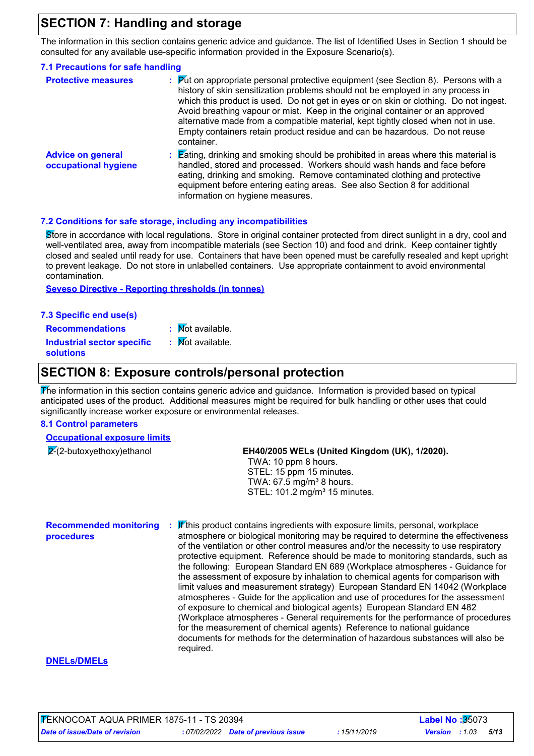## **SECTION 7: Handling and storage**

The information in this section contains generic advice and guidance. The list of Identified Uses in Section 1 should be consulted for any available use-specific information provided in the Exposure Scenario(s).

## **7.1 Precautions for safe handling**

| <b>Protective measures</b>                       | $\mathbb{P}$ $\mathbb{P}$ (Fut on appropriate personal protective equipment (see Section 8). Persons with a<br>history of skin sensitization problems should not be employed in any process in<br>which this product is used. Do not get in eyes or on skin or clothing. Do not ingest.<br>Avoid breathing vapour or mist. Keep in the original container or an approved<br>alternative made from a compatible material, kept tightly closed when not in use.<br>Empty containers retain product residue and can be hazardous. Do not reuse<br>container. |
|--------------------------------------------------|-----------------------------------------------------------------------------------------------------------------------------------------------------------------------------------------------------------------------------------------------------------------------------------------------------------------------------------------------------------------------------------------------------------------------------------------------------------------------------------------------------------------------------------------------------------|
| <b>Advice on general</b><br>occupational hygiene | $\mathbf{\mathsf{E}}$ ating, drinking and smoking should be prohibited in areas where this material is<br>handled, stored and processed. Workers should wash hands and face before<br>eating, drinking and smoking. Remove contaminated clothing and protective<br>equipment before entering eating areas. See also Section 8 for additional<br>information on hygiene measures.                                                                                                                                                                          |

### **7.2 Conditions for safe storage, including any incompatibilities**

Store in accordance with local regulations. Store in original container protected from direct sunlight in a dry, cool and well-ventilated area, away from incompatible materials (see Section 10) and food and drink. Keep container tightly closed and sealed until ready for use. Containers that have been opened must be carefully resealed and kept upright to prevent leakage. Do not store in unlabelled containers. Use appropriate containment to avoid environmental contamination.

**Seveso Directive - Reporting thresholds (in tonnes)**

### **7.3 Specific end use(s)**

 $\overline{\mathsf{N}}$ ot available. : Mot available

**Recommendations : Industrial sector specific : solutions**

## **SECTION 8: Exposure controls/personal protection**

The information in this section contains generic advice and guidance. Information is provided based on typical anticipated uses of the product. Additional measures might be required for bulk handling or other uses that could significantly increase worker exposure or environmental releases.

### **8.1 Control parameters**

### **Occupational exposure limits**

| $2-(2$ -butoxyethoxy) ethanol | EH40/2005 WELs (United Kingdom (UK), 1/2020). |
|-------------------------------|-----------------------------------------------|
|                               | TWA: 10 ppm 8 hours.                          |
|                               | STEL: 15 ppm 15 minutes.                      |
|                               | TWA: $67.5 \text{ mg/m}^3$ 8 hours.           |
|                               | STEL: 101.2 mg/m <sup>3</sup> 15 minutes.     |
|                               |                                               |
|                               |                                               |

**Recommended monitoring procedures : И∕**this product contains ingredients with exposure limits, personal, workplace atmosphere or biological monitoring may be required to determine the effectiveness of the ventilation or other control measures and/or the necessity to use respiratory protective equipment. Reference should be made to monitoring standards, such as the following: European Standard EN 689 (Workplace atmospheres - Guidance for the assessment of exposure by inhalation to chemical agents for comparison with limit values and measurement strategy) European Standard EN 14042 (Workplace atmospheres - Guide for the application and use of procedures for the assessment of exposure to chemical and biological agents) European Standard EN 482 (Workplace atmospheres - General requirements for the performance of procedures for the measurement of chemical agents) Reference to national guidance documents for methods for the determination of hazardous substances will also be required.

### **DNELs/DMELs**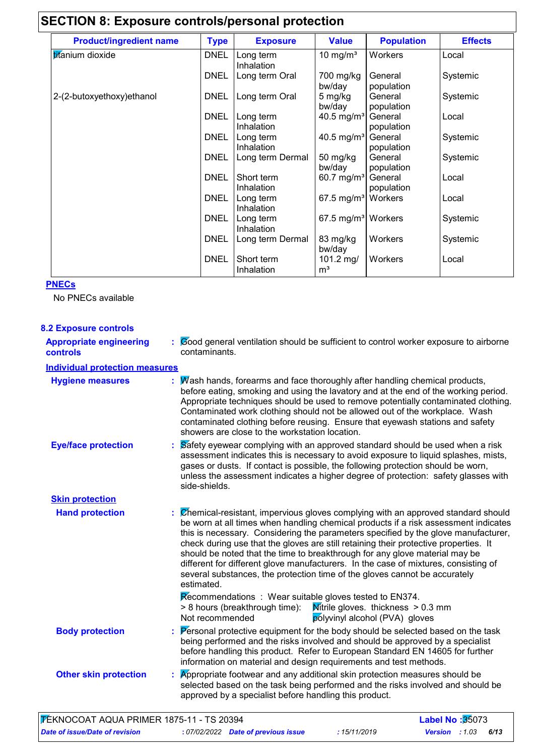| <b>Product/ingredient name</b> | <b>Type</b> | <b>Exposure</b>          | <b>Value</b>                   | <b>Population</b>     | <b>Effects</b> |
|--------------------------------|-------------|--------------------------|--------------------------------|-----------------------|----------------|
| titanium dioxide               | <b>DNEL</b> | Long term<br>Inhalation  | 10 mg/ $m3$                    | Workers               | Local          |
|                                | <b>DNEL</b> | Long term Oral           | 700 mg/kg<br>bw/day            | General<br>population | Systemic       |
| 2-(2-butoxyethoxy) ethanol     | <b>DNEL</b> | Long term Oral           | 5 mg/kg<br>bw/day              | General<br>population | Systemic       |
|                                | <b>DNEL</b> | Long term<br>Inhalation  | 40.5 mg/m <sup>3</sup>         | General<br>population | Local          |
|                                | <b>DNEL</b> | Long term<br>Inhalation  | 40.5 mg/m <sup>3</sup>         | General<br>population | Systemic       |
|                                | <b>DNEL</b> | Long term Dermal         | 50 mg/kg<br>bw/day             | General<br>population | Systemic       |
|                                | DNEL        | Short term<br>Inhalation | 60.7 mg/m <sup>3</sup>         | General<br>population | Local          |
|                                | <b>DNEL</b> | Long term<br>Inhalation  | 67.5 mg/m <sup>3</sup> Workers |                       | Local          |
|                                | <b>DNEL</b> | Long term<br>Inhalation  | 67.5 mg/m <sup>3</sup> Workers |                       | Systemic       |
|                                | <b>DNEL</b> | Long term Dermal         | 83 mg/kg<br>bw/day             | Workers               | Systemic       |
|                                | <b>DNEL</b> | Short term<br>Inhalation | 101.2 mg/<br>m <sup>3</sup>    | Workers               | Local          |

## **PNECs**

No PNECs available

| <b>8.2 Exposure controls</b>                      |                                                                                                                                                                                                                                                                                                                                                                                                                                                                                                                                                                                                                           |
|---------------------------------------------------|---------------------------------------------------------------------------------------------------------------------------------------------------------------------------------------------------------------------------------------------------------------------------------------------------------------------------------------------------------------------------------------------------------------------------------------------------------------------------------------------------------------------------------------------------------------------------------------------------------------------------|
| <b>Appropriate engineering</b><br><b>controls</b> | : Cood general ventilation should be sufficient to control worker exposure to airborne<br>contaminants.                                                                                                                                                                                                                                                                                                                                                                                                                                                                                                                   |
| <b>Individual protection measures</b>             |                                                                                                                                                                                                                                                                                                                                                                                                                                                                                                                                                                                                                           |
| <b>Hygiene measures</b>                           | : Wash hands, forearms and face thoroughly after handling chemical products,<br>before eating, smoking and using the lavatory and at the end of the working period.<br>Appropriate techniques should be used to remove potentially contaminated clothing.<br>Contaminated work clothing should not be allowed out of the workplace. Wash<br>contaminated clothing before reusing. Ensure that eyewash stations and safety<br>showers are close to the workstation location.                                                                                                                                               |
| <b>Eye/face protection</b>                        | $\therefore$ $\triangleright$ Safety eyewear complying with an approved standard should be used when a risk<br>assessment indicates this is necessary to avoid exposure to liquid splashes, mists,<br>gases or dusts. If contact is possible, the following protection should be worn,<br>unless the assessment indicates a higher degree of protection: safety glasses with<br>side-shields.                                                                                                                                                                                                                             |
| <b>Skin protection</b>                            |                                                                                                                                                                                                                                                                                                                                                                                                                                                                                                                                                                                                                           |
| <b>Hand protection</b>                            | : Chemical-resistant, impervious gloves complying with an approved standard should<br>be worn at all times when handling chemical products if a risk assessment indicates<br>this is necessary. Considering the parameters specified by the glove manufacturer,<br>check during use that the gloves are still retaining their protective properties. It<br>should be noted that the time to breakthrough for any glove material may be<br>different for different glove manufacturers. In the case of mixtures, consisting of<br>several substances, the protection time of the gloves cannot be accurately<br>estimated. |
|                                                   | Recommendations : Wear suitable gloves tested to EN374.<br><b>Mitrile gloves. thickness &gt; 0.3 mm</b><br>> 8 hours (breakthrough time):<br>polyvinyl alcohol (PVA) gloves<br>Not recommended                                                                                                                                                                                                                                                                                                                                                                                                                            |
| <b>Body protection</b>                            | : Personal protective equipment for the body should be selected based on the task<br>being performed and the risks involved and should be approved by a specialist<br>before handling this product. Refer to European Standard EN 14605 for further<br>information on material and design requirements and test methods.                                                                                                                                                                                                                                                                                                  |
| <b>Other skin protection</b>                      | Appropriate footwear and any additional skin protection measures should be<br>selected based on the task being performed and the risks involved and should be<br>approved by a specialist before handling this product.                                                                                                                                                                                                                                                                                                                                                                                                   |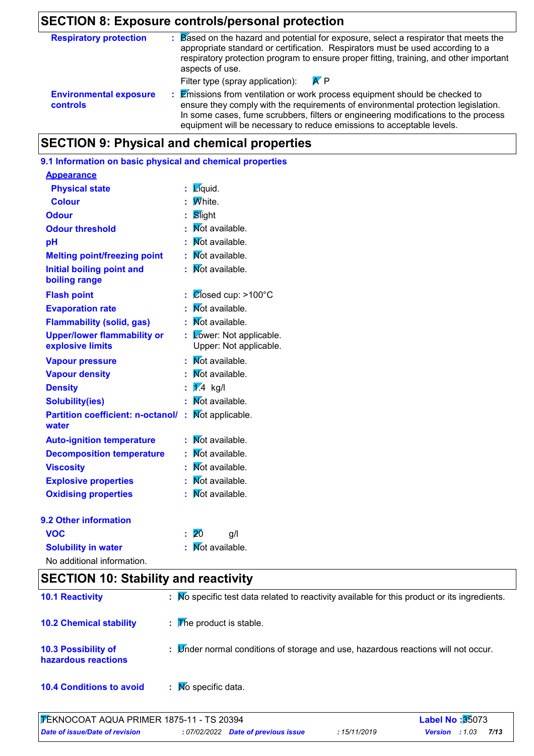## **SECTION 8: Exposure controls/personal protection**

| <b>Respiratory protection</b>                    | Based on the hazard and potential for exposure, select a respirator that meets the<br>appropriate standard or certification. Respirators must be used according to a<br>respiratory protection program to ensure proper fitting, training, and other important<br>aspects of use.                                                                                                       |
|--------------------------------------------------|-----------------------------------------------------------------------------------------------------------------------------------------------------------------------------------------------------------------------------------------------------------------------------------------------------------------------------------------------------------------------------------------|
| <b>Environmental exposure</b><br><b>controls</b> | $\overline{K}$ P<br>Filter type (spray application):<br>: Emissions from ventilation or work process equipment should be checked to<br>ensure they comply with the requirements of environmental protection legislation.<br>In some cases, fume scrubbers, filters or engineering modifications to the process<br>equipment will be necessary to reduce emissions to acceptable levels. |

## **SECTION 9: Physical and chemical properties**

### **9.1 Information on basic physical and chemical properties**

| <b>Appearance</b>                                      |                                                       |  |
|--------------------------------------------------------|-------------------------------------------------------|--|
| <b>Physical state</b>                                  | Zíquid.<br>t                                          |  |
| <b>Colour</b>                                          | <b>M</b> hite.                                        |  |
| <b>Odour</b>                                           | Slight                                                |  |
| <b>Odour threshold</b>                                 | Not available.<br>t                                   |  |
| рH                                                     | Not available.                                        |  |
| <b>Melting point/freezing point</b>                    | Not available.<br>t.                                  |  |
| <b>Initial boiling point and</b><br>boiling range      | Mot available.<br>÷.                                  |  |
| <b>Flash point</b>                                     | $\mathcal{O}$ fosed cup: >100°C<br>t                  |  |
| <b>Evaporation rate</b>                                | Mot available.                                        |  |
| <b>Flammability (solid, gas)</b>                       | Mot available.                                        |  |
| <b>Upper/lower flammability or</b><br>explosive limits | Lower: Not applicable.<br>t<br>Upper: Not applicable. |  |
| <b>Vapour pressure</b>                                 | Not available.<br>t.                                  |  |
| <b>Vapour density</b>                                  | <b>Not</b> available.                                 |  |
| <b>Density</b>                                         | $\sqrt{1/4}$ kg/l                                     |  |
| <b>Solubility(ies)</b>                                 | <b>Not</b> available.                                 |  |
| <b>Partition coefficient: n-octanol/</b><br>water      | Not applicable.<br>÷.                                 |  |
| <b>Auto-ignition temperature</b>                       | Not available.                                        |  |
| <b>Decomposition temperature</b>                       | Not available.                                        |  |
| <b>Viscosity</b>                                       | <b>Not</b> available.                                 |  |
| <b>Explosive properties</b>                            | <b>Not available.</b>                                 |  |
| <b>Oxidising properties</b>                            | Mot available.                                        |  |
| 9.2 Other information                                  |                                                       |  |
| <b>VOC</b>                                             | 20<br>g/l                                             |  |
| <b>Solubility in water</b>                             | <b>Not available.</b>                                 |  |

| <b>OURNING IN WALL</b>     |  |
|----------------------------|--|
| No additional information. |  |

## **SECTION 10: Stability and reactivity**

| <b>10.1 Reactivity</b>                            | : No specific test data related to reactivity available for this product or its ingredients. |
|---------------------------------------------------|----------------------------------------------------------------------------------------------|
| <b>10.2 Chemical stability</b>                    | $\mathbf{F}$ The product is stable.                                                          |
| <b>10.3 Possibility of</b><br>hazardous reactions | : Under normal conditions of storage and use, hazardous reactions will not occur.            |
| <b>10.4 Conditions to avoid</b>                   | No specific data.                                                                            |

| <b>FEKNOCOAT AQUA PRIMER 1875-11 - TS 20394</b> |                                     |              | <b>Label No:</b> 35073 |      |  |
|-------------------------------------------------|-------------------------------------|--------------|------------------------|------|--|
| Date of issue/Date of revision                  | : 07/02/2022 Date of previous issue | : 15/11/2019 | <b>Version</b> : 1.03  | 7/13 |  |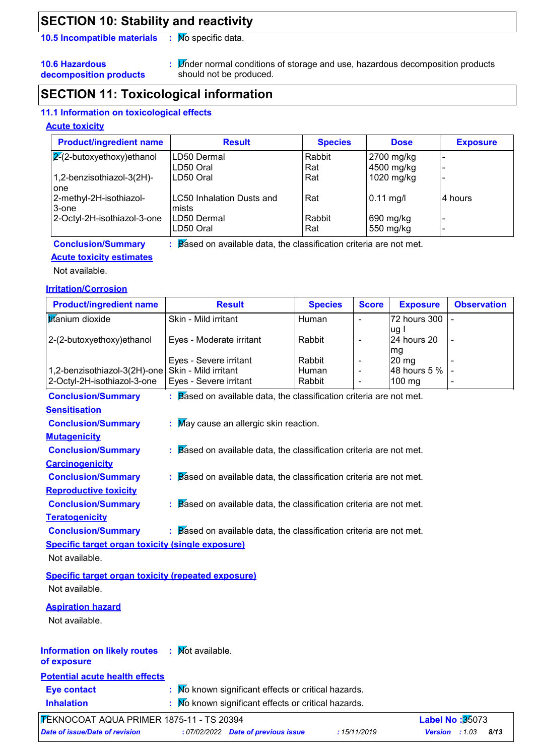## **SECTION 10: Stability and reactivity**

**10.5 Incompatible materials : Mo specific data.** 

**10.6 Hazardous decomposition products** Under normal conditions of storage and use, hazardous decomposition products **:** should not be produced.

## **SECTION 11: Toxicological information**

## **11.1 Information on toxicological effects**

### **Acute toxicity**

| <b>Product/ingredient name</b>   | <b>Result</b>             | <b>Species</b> | <b>Dose</b> | <b>Exposure</b> |
|----------------------------------|---------------------------|----------------|-------------|-----------------|
| $\sqrt{2}$ -butoxyethoxy)ethanol | LD50 Dermal               | Rabbit         | 2700 mg/kg  |                 |
|                                  | LD50 Oral                 | Rat            | 4500 mg/kg  |                 |
| 1,2-benzisothiazol-3(2H)-        | LD50 Oral                 | Rat            | 1020 mg/kg  | -               |
| l one                            |                           |                |             |                 |
| 2-methyl-2H-isothiazol-          | LC50 Inhalation Dusts and | Rat            | $0.11$ mg/l | 4 hours         |
| 3-one                            | Imists                    |                |             |                 |
| 2-Octyl-2H-isothiazol-3-one      | LD50 Dermal               | Rabbit         | 690 mg/kg   |                 |
|                                  | LD50 Oral                 | Rat            | 550 mg/kg   |                 |

#### **Conclusion/Summary :** Based on available data, the classification criteria are not met.

### **Acute toxicity estimates**

Not available.

### **Irritation/Corrosion**

| <b>Product/ingredient name</b>                            | <b>Result</b>                                                                  | <b>Species</b> | <b>Score</b> | <b>Exposure</b>     | <b>Observation</b>     |
|-----------------------------------------------------------|--------------------------------------------------------------------------------|----------------|--------------|---------------------|------------------------|
| titanium dioxide                                          | Skin - Mild irritant                                                           | Human          | ä,           | 72 hours 300        |                        |
| 2-(2-butoxyethoxy)ethanol                                 | Eyes - Moderate irritant                                                       | Rabbit         |              | ug l<br>24 hours 20 |                        |
|                                                           | Eyes - Severe irritant                                                         | Rabbit         | L,           | mg<br>$20$ mg       |                        |
| 1,2-benzisothiazol-3(2H)-one                              | Skin - Mild irritant                                                           | Human          |              | 48 hours 5 %        |                        |
| 2-Octyl-2H-isothiazol-3-one                               | Eyes - Severe irritant                                                         | Rabbit         |              | 100 mg              |                        |
| <b>Conclusion/Summary</b>                                 | $\therefore$ Based on available data, the classification criteria are not met. |                |              |                     |                        |
| <b>Sensitisation</b>                                      |                                                                                |                |              |                     |                        |
| <b>Conclusion/Summary</b>                                 | : May cause an allergic skin reaction.                                         |                |              |                     |                        |
| <b>Mutagenicity</b>                                       |                                                                                |                |              |                     |                        |
| <b>Conclusion/Summary</b>                                 | $\therefore$ Based on available data, the classification criteria are not met. |                |              |                     |                        |
| <b>Carcinogenicity</b>                                    |                                                                                |                |              |                     |                        |
| <b>Conclusion/Summary</b>                                 | $\therefore$ Based on available data, the classification criteria are not met. |                |              |                     |                        |
| <b>Reproductive toxicity</b>                              |                                                                                |                |              |                     |                        |
| <b>Conclusion/Summary</b>                                 | $\therefore$ Based on available data, the classification criteria are not met. |                |              |                     |                        |
| <b>Teratogenicity</b>                                     |                                                                                |                |              |                     |                        |
| <b>Conclusion/Summary</b>                                 | $\therefore$ Based on available data, the classification criteria are not met. |                |              |                     |                        |
| Specific target organ toxicity (single exposure)          |                                                                                |                |              |                     |                        |
| Not available.                                            |                                                                                |                |              |                     |                        |
| <b>Specific target organ toxicity (repeated exposure)</b> |                                                                                |                |              |                     |                        |
| Not available.                                            |                                                                                |                |              |                     |                        |
| <b>Aspiration hazard</b>                                  |                                                                                |                |              |                     |                        |
| Not available.                                            |                                                                                |                |              |                     |                        |
|                                                           |                                                                                |                |              |                     |                        |
| <b>Information on likely routes : Mot available.</b>      |                                                                                |                |              |                     |                        |
| of exposure                                               |                                                                                |                |              |                     |                        |
| <b>Potential acute health effects</b>                     |                                                                                |                |              |                     |                        |
| <b>Eye contact</b>                                        | No known significant effects or critical hazards.                              |                |              |                     |                        |
| <b>Inhalation</b>                                         | No known significant effects or critical hazards.                              |                |              |                     |                        |
| <b>7 EKNOCOAT AQUA PRIMER 1875-11 - TS 20394</b>          |                                                                                |                |              |                     | <b>Label No: 35073</b> |

*Date of issue/Date of revision* **:** *07/02/2022 Date of previous issue : 15/11/2019 Version : 1.03 8/13*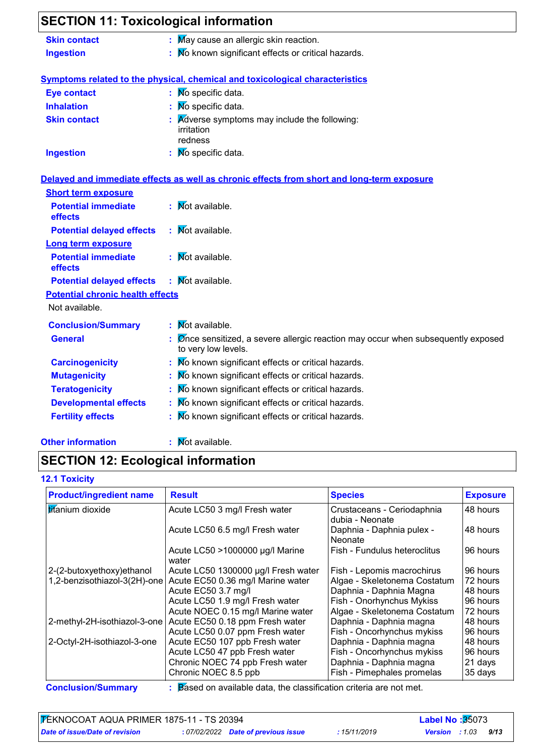| <b>SECTION 11: Toxicological information</b> |                                                                                                                                |
|----------------------------------------------|--------------------------------------------------------------------------------------------------------------------------------|
| <b>Skin contact</b>                          | : May cause an allergic skin reaction.                                                                                         |
| <b>Ingestion</b>                             | $\therefore$ $\overline{\mathsf{M}}$ known significant effects or critical hazards.                                            |
|                                              | Symptoms related to the physical, chemical and toxicological characteristics                                                   |
| <b>Eye contact</b>                           | : Mo specific data.                                                                                                            |
| <b>Inhalation</b>                            | No specific data.                                                                                                              |
| <b>Skin contact</b>                          | Adverse symptoms may include the following:<br>irritation<br>redness                                                           |
| <b>Ingestion</b>                             | : Mo specific data.                                                                                                            |
|                                              | Delayed and immediate effects as well as chronic effects from short and long-term exposure                                     |
| <b>Short term exposure</b>                   |                                                                                                                                |
| <b>Potential immediate</b><br>effects        | $\mathbf{W}$ ot available.                                                                                                     |
| <b>Potential delayed effects</b>             | : Mot available.                                                                                                               |
| <b>Long term exposure</b>                    |                                                                                                                                |
| <b>Potential immediate</b><br>effects        | $\mathbf{N}$ ot available.                                                                                                     |
| <b>Potential delayed effects</b>             | Not available.                                                                                                                 |
| <b>Potential chronic health effects</b>      |                                                                                                                                |
| Not available.                               |                                                                                                                                |
| <b>Conclusion/Summary</b>                    | : Mot available.                                                                                                               |
| <b>General</b>                               | $\mathbb E$ $\emptyset$ mode sensitized, a severe allergic reaction may occur when subsequently exposed<br>to very low levels. |
| <b>Carcinogenicity</b>                       | : Mo known significant effects or critical hazards.                                                                            |
| <b>Mutagenicity</b>                          | : No known significant effects or critical hazards.                                                                            |
| <b>Teratogenicity</b>                        | No known significant effects or critical hazards.                                                                              |
| <b>Developmental effects</b>                 | No known significant effects or critical hazards.                                                                              |
| <b>Fertility effects</b>                     | No known significant effects or critical hazards.                                                                              |
|                                              |                                                                                                                                |

## **Other information :**

: Mot available.

## **SECTION 12: Ecological information**

## **12.1 Toxicity**

| <b>Product/ingredient name</b> | <b>Result</b>                            | <b>Species</b>                                | <b>Exposure</b> |
|--------------------------------|------------------------------------------|-----------------------------------------------|-----------------|
| titanium dioxide               | Acute LC50 3 mg/l Fresh water            | Crustaceans - Ceriodaphnia<br>dubia - Neonate | 48 hours        |
|                                | Acute LC50 6.5 mg/l Fresh water          | Daphnia - Daphnia pulex -<br>Neonate          | 48 hours        |
|                                | Acute LC50 >1000000 µg/l Marine<br>water | Fish - Fundulus heteroclitus                  | 96 hours        |
| 2-(2-butoxyethoxy)ethanol      | Acute LC50 1300000 µg/l Fresh water      | Fish - Lepomis macrochirus                    | 96 hours        |
| 1,2-benzisothiazol-3(2H)-one   | Acute EC50 0.36 mg/l Marine water        | Algae - Skeletonema Costatum                  | 72 hours        |
|                                | Acute EC50 3.7 mg/l                      | Daphnia - Daphnia Magna                       | 48 hours        |
|                                | Acute LC50 1.9 mg/l Fresh water          | Fish - Onorhynchus Mykiss                     | 96 hours        |
|                                | Acute NOEC 0.15 mg/l Marine water        | Algae - Skeletonema Costatum                  | 72 hours        |
| 2-methyl-2H-isothiazol-3-one   | Acute EC50 0.18 ppm Fresh water          | Daphnia - Daphnia magna                       | 48 hours        |
|                                | Acute LC50 0.07 ppm Fresh water          | Fish - Oncorhynchus mykiss                    | 96 hours        |
| 2-Octyl-2H-isothiazol-3-one    | Acute EC50 107 ppb Fresh water           | Daphnia - Daphnia magna                       | 48 hours        |
|                                | Acute LC50 47 ppb Fresh water            | Fish - Oncorhynchus mykiss                    | 96 hours        |
|                                | Chronic NOEC 74 ppb Fresh water          | Daphnia - Daphnia magna                       | 21 days         |
|                                | Chronic NOEC 8.5 ppb                     | Fish - Pimephales promelas                    | 35 days         |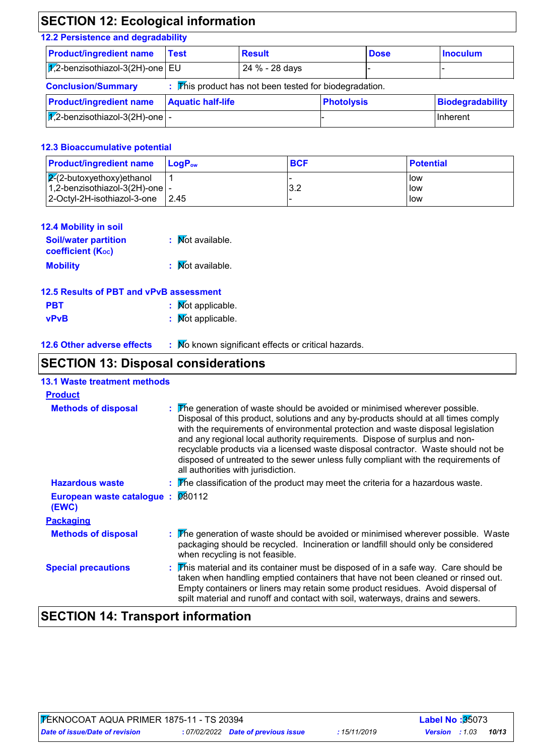## **SECTION 12: Ecological information**

## **12.2 Persistence and degradability**

| <b>Product/ingredient name</b>                 | Test                     | <b>Result</b>                                                       |                   | <b>Dose</b> | <b>Inoculum</b>         |
|------------------------------------------------|--------------------------|---------------------------------------------------------------------|-------------------|-------------|-------------------------|
| $ \overline{172}$ -benzisothiazol-3(2H)-one EU |                          | 24 % - 28 days                                                      |                   |             |                         |
| <b>Conclusion/Summary</b>                      |                          | $\triangledown$ his product has not been tested for biodegradation. |                   |             |                         |
| <b>Product/ingredient name</b>                 | <b>Aquatic half-life</b> |                                                                     | <b>Photolysis</b> |             | <b>Biodegradability</b> |
| $\sqrt{12}$ -benzisothiazol-3(2H)-one  -       |                          |                                                                     |                   |             | Inherent                |
|                                                |                          |                                                                     |                   |             |                         |

### **12.3 Bioaccumulative potential**

| <b>Product/ingredient name</b>                 | <b>Lo</b> aP <sub>ow</sub> | <b>BCF</b> | <b>Potential</b> |
|------------------------------------------------|----------------------------|------------|------------------|
| $\sqrt{2}$ -2-butoxyethoxy)ethanol             |                            |            | low              |
| $\vert$ 1,2-benzisothiazol-3(2H)-one $\vert$ - |                            | າ າ<br>ے.د | low              |
| $ 2$ -Octyl-2H-isothiazol-3-one $ 2.45 $       |                            |            | low              |

| 12.4 Mobility in soil                                   |                  |
|---------------------------------------------------------|------------------|
| <b>Soil/water partition</b><br><b>coefficient (Koc)</b> | : Mot available. |
| <b>Mobility</b>                                         | : Mot available. |

| : Mot applicable.<br><b>PBT</b> |  |
|---------------------------------|--|
|---------------------------------|--|

| vPvB | : Mot applicable. |
|------|-------------------|
|------|-------------------|

**12.6 Other adverse effects** : Mo known significant effects or critical hazards.

## **SECTION 13: Disposal considerations**

| <b>13.1 Waste treatment methods</b> |                                                                                                                                                                                                                                                                                                                                                                                                                                                                                                                                                      |
|-------------------------------------|------------------------------------------------------------------------------------------------------------------------------------------------------------------------------------------------------------------------------------------------------------------------------------------------------------------------------------------------------------------------------------------------------------------------------------------------------------------------------------------------------------------------------------------------------|
| <b>Product</b>                      |                                                                                                                                                                                                                                                                                                                                                                                                                                                                                                                                                      |
| <b>Methods of disposal</b>          | : The generation of waste should be avoided or minimised wherever possible.<br>Disposal of this product, solutions and any by-products should at all times comply<br>with the requirements of environmental protection and waste disposal legislation<br>and any regional local authority requirements. Dispose of surplus and non-<br>recyclable products via a licensed waste disposal contractor. Waste should not be<br>disposed of untreated to the sewer unless fully compliant with the requirements of<br>all authorities with jurisdiction. |
| <b>Hazardous waste</b>              | $\frac{1}{2}$ The classification of the product may meet the criteria for a hazardous waste.                                                                                                                                                                                                                                                                                                                                                                                                                                                         |
| European waste catalogue :<br>(EWC) | 080112                                                                                                                                                                                                                                                                                                                                                                                                                                                                                                                                               |
| <b>Packaging</b>                    |                                                                                                                                                                                                                                                                                                                                                                                                                                                                                                                                                      |
| <b>Methods of disposal</b>          | : <b>The generation of waste should be avoided or minimised wherever possible.</b> Waste<br>packaging should be recycled. Incineration or landfill should only be considered<br>when recycling is not feasible.                                                                                                                                                                                                                                                                                                                                      |
| <b>Special precautions</b>          | : This material and its container must be disposed of in a safe way. Care should be<br>taken when handling emptied containers that have not been cleaned or rinsed out.<br>Empty containers or liners may retain some product residues. Avoid dispersal of<br>spilt material and runoff and contact with soil, waterways, drains and sewers.                                                                                                                                                                                                         |

## **SECTION 14: Transport information**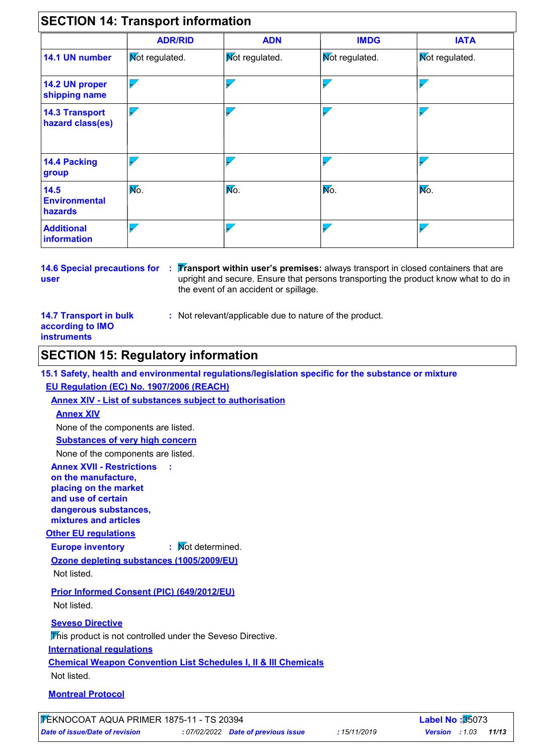|                                           | <b>ADR/RID</b>           | <b>ADN</b>     | <b>IMDG</b>              | <b>IATA</b>    |
|-------------------------------------------|--------------------------|----------------|--------------------------|----------------|
| 14.1 UN number                            | Mot regulated.           | Mot regulated. | <b>Not regulated.</b>    | Mot regulated. |
| 14.2 UN proper<br>shipping name           | $\overline{\phantom{0}}$ |                | $\overline{\phantom{0}}$ | $\sqrt{ }$     |
| <b>14.3 Transport</b><br>hazard class(es) | $\sqrt{}$                |                | $\overline{\checkmark}$  |                |
| <b>14.4 Packing</b><br>group              |                          |                | $\overline{\phantom{a}}$ |                |
| 14.5<br><b>Environmental</b><br>hazards   | Mo.                      | Mo.            | Mo.                      | No.            |
| <b>Additional</b><br>information          |                          |                | $\overline{\phantom{a}}$ |                |

**user**

**14.6 Special precautions for : [Fransport within user's premises:** always transport in closed containers that are upright and secure. Ensure that persons transporting the product know what to do in the event of an accident or spillage.

### **14.7 Transport in bulk according to IMO instruments**

**:** Not relevant/applicable due to nature of the product.

## **SECTION 15: Regulatory information**

**15.1 Safety, health and environmental regulations/legislation specific for the substance or mixture EU Regulation (EC) No. 1907/2006 (REACH)**

**Annex XIV - List of substances subject to authorisation**

**:**

### **Annex XIV**

None of the components are listed.

**Substances of very high concern**

None of the components are listed.

### **Annex XVII - Restrictions on the manufacture, placing on the market and use of certain dangerous substances,**

**mixtures and articles**

## **Other EU regulations**

**Europe inventory :** Not determined.

**Ozone depleting substances (1005/2009/EU)** Not listed.

**Prior Informed Consent (PIC) (649/2012/EU)** Not listed.

## **Seveso Directive**

This product is not controlled under the Seveso Directive.

## **International regulations**

**Chemical Weapon Convention List Schedules I, II & III Chemicals**

Not listed.

## **Montreal Protocol**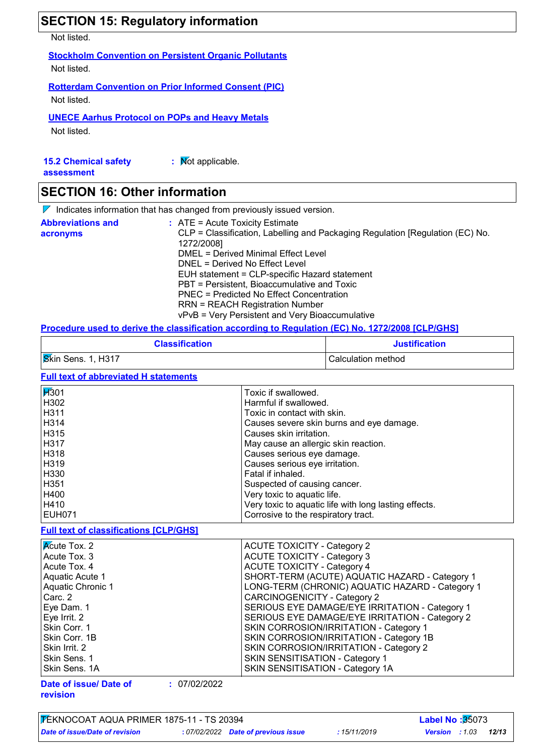|                                           | <b>SECTION 15: Regulatory information</b>                                                                                                                                                                                                                                                                                                                           |
|-------------------------------------------|---------------------------------------------------------------------------------------------------------------------------------------------------------------------------------------------------------------------------------------------------------------------------------------------------------------------------------------------------------------------|
| Not listed.                               |                                                                                                                                                                                                                                                                                                                                                                     |
| Not listed.                               | <b>Stockholm Convention on Persistent Organic Pollutants</b>                                                                                                                                                                                                                                                                                                        |
| Not listed.                               | <b>Rotterdam Convention on Prior Informed Consent (PIC)</b>                                                                                                                                                                                                                                                                                                         |
| Not listed.                               | <b>UNECE Aarhus Protocol on POPs and Heavy Metals</b>                                                                                                                                                                                                                                                                                                               |
| <b>15.2 Chemical safety</b><br>assessment | : Mot applicable.                                                                                                                                                                                                                                                                                                                                                   |
| <b>SECTION 16: Other information</b>      |                                                                                                                                                                                                                                                                                                                                                                     |
|                                           | $\triangleright$ Indicates information that has changed from previously issued version.                                                                                                                                                                                                                                                                             |
| <b>Abbreviations and</b><br>acronyms      | $:$ ATE = Acute Toxicity Estimate<br>CLP = Classification, Labelling and Packaging Regulation [Regulation (EC) No.<br>1272/2008]<br><b>DMEL = Derived Minimal Effect Level</b><br>DNEL = Derived No Effect Level<br>EUH statement = CLP-specific Hazard statement<br>PBT = Persistent, Bioaccumulative and Toxic<br><b>PNEC = Predicted No Effect Concentration</b> |

RRN = REACH Registration Number

## vPvB = Very Persistent and Very Bioaccumulative **Procedure used to derive the classification according to Regulation (EC) No. 1272/2008 [CLP/GHS]**

| <u>i ivvyaarv agoa to agiito tho gagonigation agooraniq to itoqalation (20) hel 2200   021 / 01   0</u> |                      |  |
|---------------------------------------------------------------------------------------------------------|----------------------|--|
| <b>Classification</b>                                                                                   | <b>Justification</b> |  |
| <b>Skin Sens. 1, H317</b>                                                                               | Calculation method   |  |

### **Full text of abbreviated H statements**

| <b>H</b> 301  | Toxic if swallowed.                                   |
|---------------|-------------------------------------------------------|
| H302          | Harmful if swallowed.                                 |
| H311          | Toxic in contact with skin.                           |
| H314          | Causes severe skin burns and eye damage.              |
| H315          | Causes skin irritation.                               |
| <b>H317</b>   | May cause an allergic skin reaction.                  |
| H318          | Causes serious eye damage.                            |
| H319          | Causes serious eye irritation.                        |
| H330          | Fatal if inhaled.                                     |
| H351          | Suspected of causing cancer.                          |
| H400          | Very toxic to aquatic life.                           |
| H410          | Very toxic to aquatic life with long lasting effects. |
| <b>EUH071</b> | Corrosive to the respiratory tract.                   |

**Full text of classifications [CLP/GHS]**

| $\overline{\mathsf{K}}$ cute Tox. 2 | <b>ACUTE TOXICITY - Category 2</b>              |
|-------------------------------------|-------------------------------------------------|
| Acute Tox. 3                        | <b>ACUTE TOXICITY - Category 3</b>              |
| Acute Tox. 4                        | <b>ACUTE TOXICITY - Category 4</b>              |
| Aquatic Acute 1                     | SHORT-TERM (ACUTE) AQUATIC HAZARD - Category 1  |
| <b>Aquatic Chronic 1</b>            | LONG-TERM (CHRONIC) AQUATIC HAZARD - Category 1 |
| Carc. 2                             | <b>CARCINOGENICITY - Category 2</b>             |
| Eye Dam. 1                          | SERIOUS EYE DAMAGE/EYE IRRITATION - Category 1  |
| Eye Irrit. 2                        | SERIOUS EYE DAMAGE/EYE IRRITATION - Category 2  |
| Skin Corr. 1                        | SKIN CORROSION/IRRITATION - Category 1          |
| Skin Corr. 1B                       | SKIN CORROSION/IRRITATION - Category 1B         |
| Skin Irrit. 2                       | SKIN CORROSION/IRRITATION - Category 2          |
| Skin Sens. 1                        | SKIN SENSITISATION - Category 1                 |
| Skin Sens. 1A                       | SKIN SENSITISATION - Category 1A                |

**Date of issue/ Date of revision**

```
: 07/02/2022
```